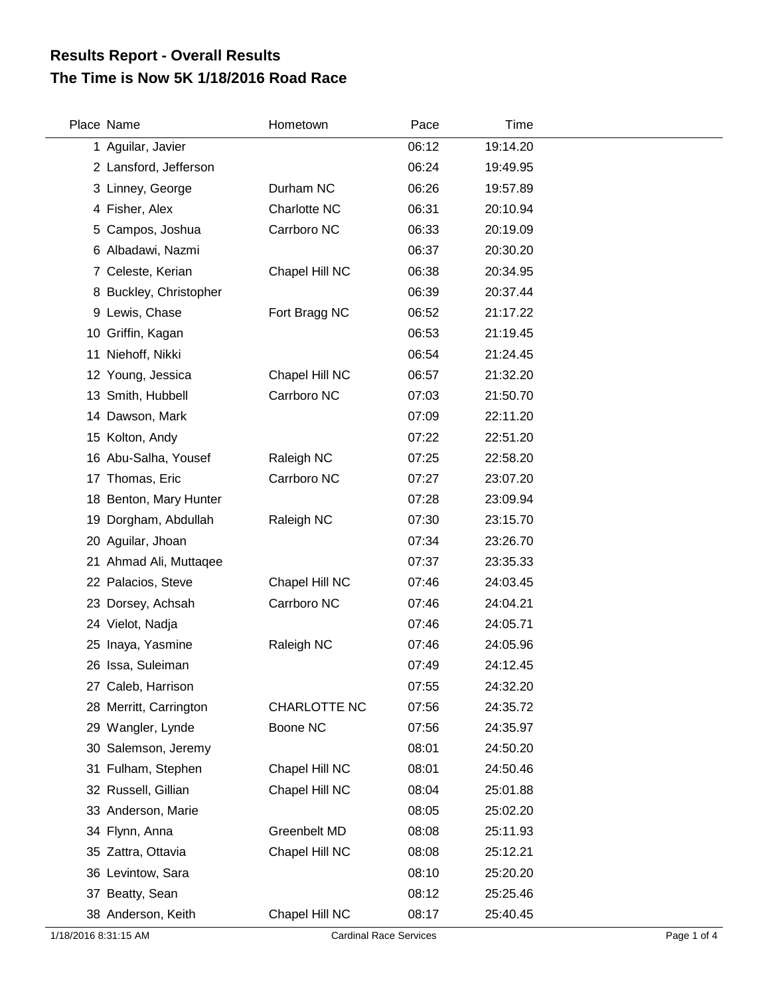## **The Time is Now 5K 1/18/2016 Road Race Results Report - Overall Results**

| Place Name             | Hometown       | Pace  | Time     |
|------------------------|----------------|-------|----------|
| 1 Aguilar, Javier      |                | 06:12 | 19:14.20 |
| 2 Lansford, Jefferson  |                | 06:24 | 19:49.95 |
| 3 Linney, George       | Durham NC      | 06:26 | 19:57.89 |
| 4 Fisher, Alex         | Charlotte NC   | 06:31 | 20:10.94 |
| 5 Campos, Joshua       | Carrboro NC    | 06:33 | 20:19.09 |
| 6 Albadawi, Nazmi      |                | 06:37 | 20:30.20 |
| 7 Celeste, Kerian      | Chapel Hill NC | 06:38 | 20:34.95 |
| 8 Buckley, Christopher |                | 06:39 | 20:37.44 |
| 9 Lewis, Chase         | Fort Bragg NC  | 06:52 | 21:17.22 |
| 10 Griffin, Kagan      |                | 06:53 | 21:19.45 |
| 11 Niehoff, Nikki      |                | 06:54 | 21:24.45 |
| 12 Young, Jessica      | Chapel Hill NC | 06:57 | 21:32.20 |
| 13 Smith, Hubbell      | Carrboro NC    | 07:03 | 21:50.70 |
| 14 Dawson, Mark        |                | 07:09 | 22:11.20 |
| 15 Kolton, Andy        |                | 07:22 | 22:51.20 |
| 16 Abu-Salha, Yousef   | Raleigh NC     | 07:25 | 22:58.20 |
| 17 Thomas, Eric        | Carrboro NC    | 07:27 | 23:07.20 |
| 18 Benton, Mary Hunter |                | 07:28 | 23:09.94 |
| 19 Dorgham, Abdullah   | Raleigh NC     | 07:30 | 23:15.70 |
| 20 Aguilar, Jhoan      |                | 07:34 | 23:26.70 |
| 21 Ahmad Ali, Muttaqee |                | 07:37 | 23:35.33 |
| 22 Palacios, Steve     | Chapel Hill NC | 07:46 | 24:03.45 |
| 23 Dorsey, Achsah      | Carrboro NC    | 07:46 | 24:04.21 |
| 24 Vielot, Nadja       |                | 07:46 | 24:05.71 |
| 25 Inaya, Yasmine      | Raleigh NC     | 07:46 | 24:05.96 |
| 26 Issa, Suleiman      |                | 07:49 | 24:12.45 |
| 27 Caleb, Harrison     |                | 07:55 | 24:32.20 |
| 28 Merritt, Carrington | CHARLOTTE NC   | 07:56 | 24:35.72 |
| 29 Wangler, Lynde      | Boone NC       | 07:56 | 24:35.97 |
| 30 Salemson, Jeremy    |                | 08:01 | 24:50.20 |
| 31 Fulham, Stephen     | Chapel Hill NC | 08:01 | 24:50.46 |
| 32 Russell, Gillian    | Chapel Hill NC | 08:04 | 25:01.88 |
| 33 Anderson, Marie     |                | 08:05 | 25:02.20 |
| 34 Flynn, Anna         | Greenbelt MD   | 08:08 | 25:11.93 |
| 35 Zattra, Ottavia     | Chapel Hill NC | 08:08 | 25:12.21 |
| 36 Levintow, Sara      |                | 08:10 | 25:20.20 |
| 37 Beatty, Sean        |                | 08:12 | 25:25.46 |
| 38 Anderson, Keith     | Chapel Hill NC | 08:17 | 25:40.45 |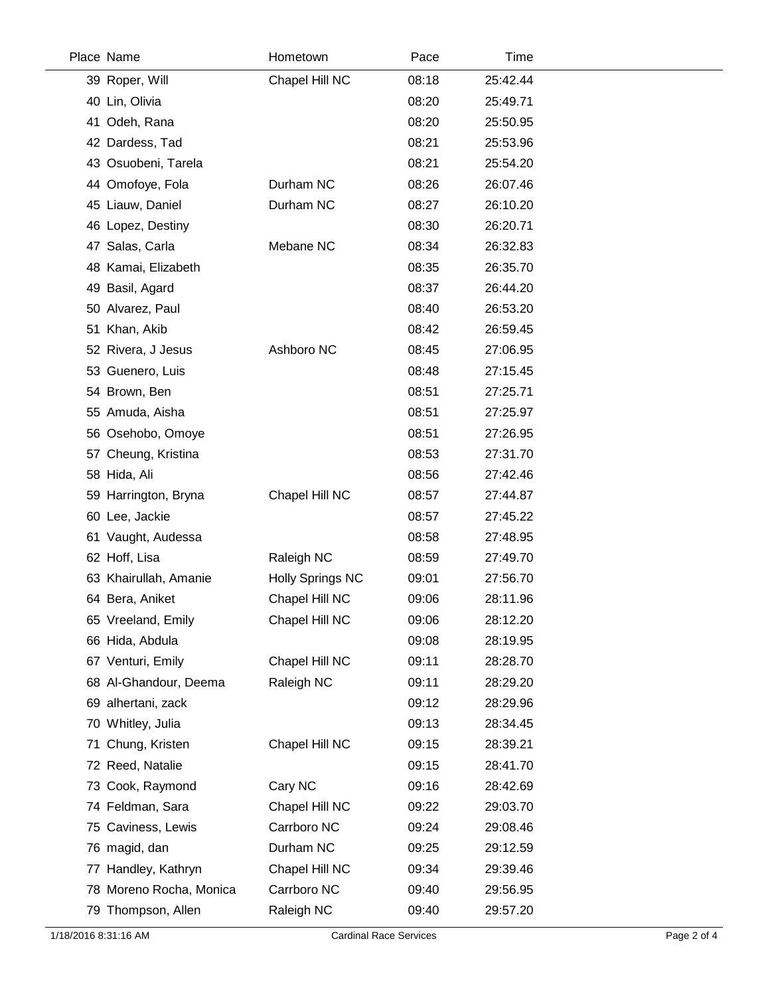| Place Name              | Hometown                | Pace  | Time     |  |
|-------------------------|-------------------------|-------|----------|--|
| 39 Roper, Will          | Chapel Hill NC          | 08:18 | 25:42.44 |  |
| 40 Lin, Olivia          |                         | 08:20 | 25:49.71 |  |
| Odeh, Rana<br>41.       |                         | 08:20 | 25:50.95 |  |
| 42 Dardess, Tad         |                         | 08:21 | 25:53.96 |  |
| 43 Osuobeni, Tarela     |                         | 08:21 | 25:54.20 |  |
| 44 Omofoye, Fola        | Durham NC               | 08:26 | 26:07.46 |  |
| 45 Liauw, Daniel        | Durham NC               | 08:27 | 26:10.20 |  |
| 46 Lopez, Destiny       |                         | 08:30 | 26:20.71 |  |
| 47 Salas, Carla         | Mebane NC               | 08:34 | 26:32.83 |  |
| 48 Kamai, Elizabeth     |                         | 08:35 | 26:35.70 |  |
| 49 Basil, Agard         |                         | 08:37 | 26:44.20 |  |
| 50 Alvarez, Paul        |                         | 08:40 | 26:53.20 |  |
| 51 Khan, Akib           |                         | 08:42 | 26:59.45 |  |
| 52 Rivera, J Jesus      | Ashboro NC              | 08:45 | 27:06.95 |  |
| 53 Guenero, Luis        |                         | 08:48 | 27:15.45 |  |
| 54 Brown, Ben           |                         | 08:51 | 27:25.71 |  |
| 55 Amuda, Aisha         |                         | 08:51 | 27:25.97 |  |
| 56 Osehobo, Omoye       |                         | 08:51 | 27:26.95 |  |
| 57 Cheung, Kristina     |                         | 08:53 | 27:31.70 |  |
| 58 Hida, Ali            |                         | 08:56 | 27:42.46 |  |
| 59 Harrington, Bryna    | Chapel Hill NC          | 08:57 | 27:44.87 |  |
| 60 Lee, Jackie          |                         | 08:57 | 27:45.22 |  |
| 61 Vaught, Audessa      |                         | 08:58 | 27:48.95 |  |
| 62 Hoff, Lisa           | Raleigh NC              | 08:59 | 27:49.70 |  |
| 63 Khairullah, Amanie   | <b>Holly Springs NC</b> | 09:01 | 27:56.70 |  |
| 64 Bera, Aniket         | Chapel Hill NC          | 09:06 | 28:11.96 |  |
| 65 Vreeland, Emily      | Chapel Hill NC          | 09:06 | 28:12.20 |  |
| 66 Hida, Abdula         |                         | 09:08 | 28:19.95 |  |
| 67 Venturi, Emily       | Chapel Hill NC          | 09:11 | 28:28.70 |  |
| 68 Al-Ghandour, Deema   | Raleigh NC              | 09:11 | 28:29.20 |  |
| 69 alhertani, zack      |                         | 09:12 | 28:29.96 |  |
| 70 Whitley, Julia       |                         | 09:13 | 28:34.45 |  |
| Chung, Kristen<br>71    | Chapel Hill NC          | 09:15 | 28:39.21 |  |
| 72 Reed, Natalie        |                         | 09:15 | 28:41.70 |  |
| 73 Cook, Raymond        | Cary NC                 | 09:16 | 28:42.69 |  |
| 74 Feldman, Sara        | Chapel Hill NC          | 09:22 | 29:03.70 |  |
| 75 Caviness, Lewis      | Carrboro NC             | 09:24 | 29:08.46 |  |
| 76 magid, dan           | Durham NC               | 09:25 | 29:12.59 |  |
| Handley, Kathryn<br>77  | Chapel Hill NC          | 09:34 | 29:39.46 |  |
| 78 Moreno Rocha, Monica | Carrboro NC             | 09:40 | 29:56.95 |  |
| 79 Thompson, Allen      | Raleigh NC              | 09:40 | 29:57.20 |  |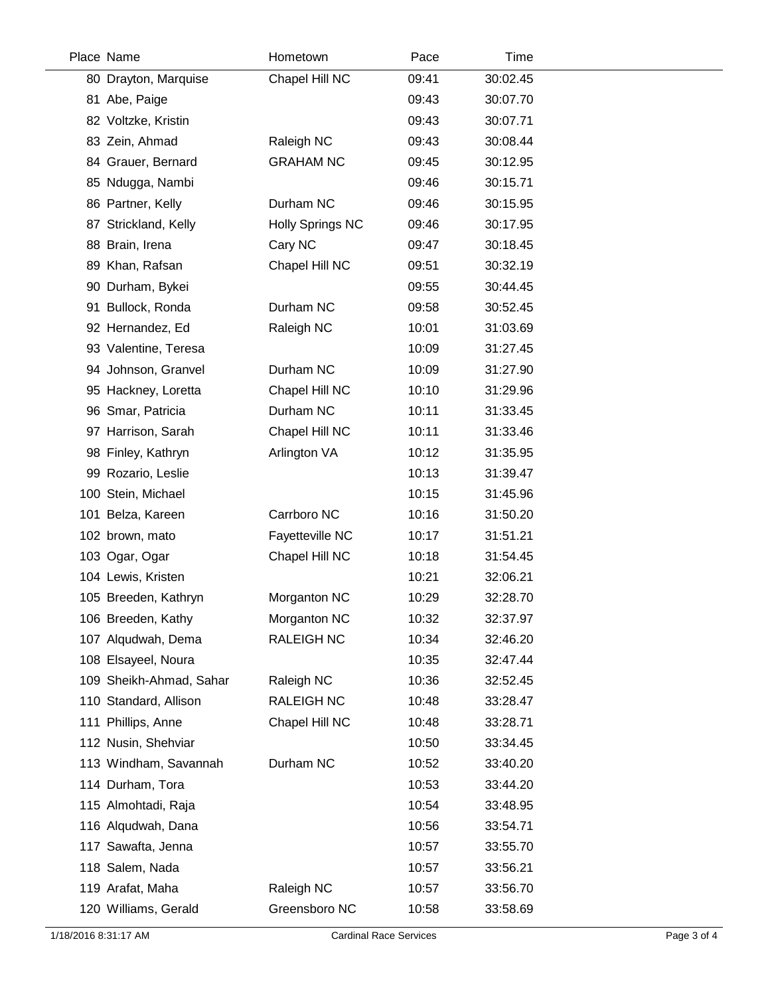| Place Name              | Hometown                | Pace  | Time     |
|-------------------------|-------------------------|-------|----------|
| 80 Drayton, Marquise    | Chapel Hill NC          | 09:41 | 30:02.45 |
| 81 Abe, Paige           |                         | 09:43 | 30:07.70 |
| 82 Voltzke, Kristin     |                         | 09:43 | 30:07.71 |
| 83 Zein, Ahmad          | Raleigh NC              | 09:43 | 30:08.44 |
| 84 Grauer, Bernard      | <b>GRAHAM NC</b>        | 09:45 | 30:12.95 |
| 85 Ndugga, Nambi        |                         | 09:46 | 30:15.71 |
| 86 Partner, Kelly       | Durham NC               | 09:46 | 30:15.95 |
| 87 Strickland, Kelly    | <b>Holly Springs NC</b> | 09:46 | 30:17.95 |
| 88 Brain, Irena         | Cary NC                 | 09:47 | 30:18.45 |
| 89 Khan, Rafsan         | Chapel Hill NC          | 09:51 | 30:32.19 |
| 90 Durham, Bykei        |                         | 09:55 | 30:44.45 |
| 91 Bullock, Ronda       | Durham NC               | 09:58 | 30:52.45 |
| 92 Hernandez, Ed        | Raleigh NC              | 10:01 | 31:03.69 |
| 93 Valentine, Teresa    |                         | 10:09 | 31:27.45 |
| 94 Johnson, Granvel     | Durham NC               | 10:09 | 31:27.90 |
| 95 Hackney, Loretta     | Chapel Hill NC          | 10:10 | 31:29.96 |
| 96 Smar, Patricia       | Durham NC               | 10:11 | 31:33.45 |
| 97 Harrison, Sarah      | Chapel Hill NC          | 10:11 | 31:33.46 |
| 98 Finley, Kathryn      | Arlington VA            | 10:12 | 31:35.95 |
| 99 Rozario, Leslie      |                         | 10:13 | 31:39.47 |
| 100 Stein, Michael      |                         | 10:15 | 31:45.96 |
| 101 Belza, Kareen       | Carrboro NC             | 10:16 | 31:50.20 |
| 102 brown, mato         | Fayetteville NC         | 10:17 | 31:51.21 |
| 103 Ogar, Ogar          | Chapel Hill NC          | 10:18 | 31:54.45 |
| 104 Lewis, Kristen      |                         | 10:21 | 32:06.21 |
| 105 Breeden, Kathryn    | Morganton NC            | 10:29 | 32:28.70 |
| 106 Breeden, Kathy      | Morganton NC            | 10:32 | 32:37.97 |
| 107 Alqudwah, Dema      | <b>RALEIGH NC</b>       | 10:34 | 32:46.20 |
| 108 Elsayeel, Noura     |                         | 10:35 | 32:47.44 |
| 109 Sheikh-Ahmad, Sahar | Raleigh NC              | 10:36 | 32:52.45 |
| 110 Standard, Allison   | <b>RALEIGH NC</b>       | 10:48 | 33:28.47 |
| 111 Phillips, Anne      | Chapel Hill NC          | 10:48 | 33:28.71 |
| 112 Nusin, Shehviar     |                         | 10:50 | 33:34.45 |
| 113 Windham, Savannah   | Durham NC               | 10:52 | 33:40.20 |
| 114 Durham, Tora        |                         | 10:53 | 33:44.20 |
| 115 Almohtadi, Raja     |                         | 10:54 | 33:48.95 |
| 116 Alqudwah, Dana      |                         | 10:56 | 33:54.71 |
| 117 Sawafta, Jenna      |                         | 10:57 | 33:55.70 |
| 118 Salem, Nada         |                         | 10:57 | 33:56.21 |
| 119 Arafat, Maha        | Raleigh NC              | 10:57 | 33:56.70 |
| 120 Williams, Gerald    | Greensboro NC           | 10:58 | 33:58.69 |